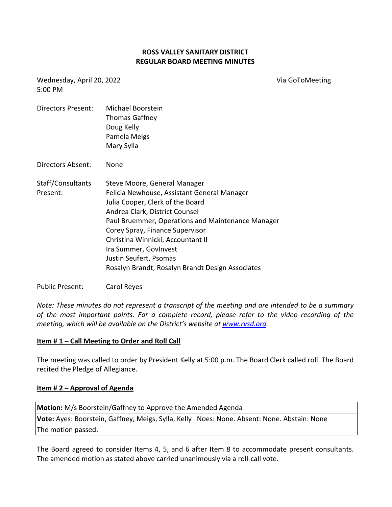### **ROSS VALLEY SANITARY DISTRICT REGULAR BOARD MEETING MINUTES**

Wednesday, April 20, 2022 5:00 PM

Via GoToMeeting

| Directors Present:            | Michael Boorstein<br>Thomas Gaffney<br>Doug Kelly<br>Pamela Meigs<br>Mary Sylla                                                                                                                                                                                                                                                                                                       |
|-------------------------------|---------------------------------------------------------------------------------------------------------------------------------------------------------------------------------------------------------------------------------------------------------------------------------------------------------------------------------------------------------------------------------------|
| Directors Absent:             | None                                                                                                                                                                                                                                                                                                                                                                                  |
| Staff/Consultants<br>Present: | Steve Moore, General Manager<br>Felicia Newhouse, Assistant General Manager<br>Julia Cooper, Clerk of the Board<br>Andrea Clark, District Counsel<br>Paul Bruemmer, Operations and Maintenance Manager<br>Corey Spray, Finance Supervisor<br>Christina Winnicki, Accountant II<br>Ira Summer, GovInvest<br>Justin Seufert, Psomas<br>Rosalyn Brandt, Rosalyn Brandt Design Associates |

#### Public Present: Carol Reyes

*Note: These minutes do not represent a transcript of the meeting and are intended to be a summary of the most important points. For a complete record, please refer to the video recording of the meeting, which will be available on the District's website at [www.rvsd.org.](http://www.rvsd.org/)* 

#### **Item # 1 – Call Meeting to Order and Roll Call**

The meeting was called to order by President Kelly at 5:00 p.m. The Board Clerk called roll. The Board recited the Pledge of Allegiance.

#### **Item # 2 – Approval of Agenda**

| Motion: M/s Boorstein/Gaffney to Approve the Amended Agenda                                 |  |  |  |
|---------------------------------------------------------------------------------------------|--|--|--|
| Vote: Ayes: Boorstein, Gaffney, Meigs, Sylla, Kelly Noes: None. Absent: None. Abstain: None |  |  |  |
| The motion passed.                                                                          |  |  |  |

The Board agreed to consider Items 4, 5, and 6 after Item 8 to accommodate present consultants. The amended motion as stated above carried unanimously via a roll-call vote.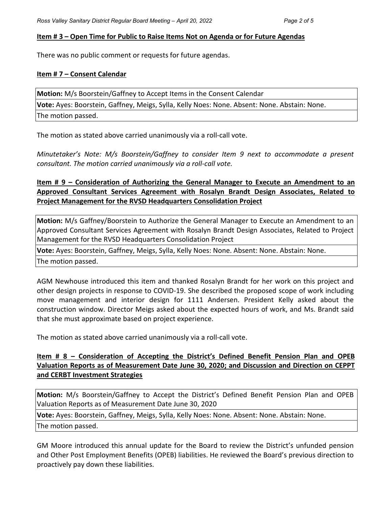### **Item # 3 – Open Time for Public to Raise Items Not on Agenda or for Future Agendas**

There was no public comment or requests for future agendas.

### **Item # 7 – Consent Calendar**

**Motion:** M/s Boorstein/Gaffney to Accept Items in the Consent Calendar **Vote:** Ayes: Boorstein, Gaffney, Meigs, Sylla, Kelly Noes: None. Absent: None. Abstain: None. The motion passed.

The motion as stated above carried unanimously via a roll-call vote.

*Minutetaker's Note: M/s Boorstein/Gaffney to consider Item 9 next to accommodate a present consultant. The motion carried unanimously via a roll-call vote.*

# **Item # 9 – Consideration of Authorizing the General Manager to Execute an Amendment to an Approved Consultant Services Agreement with Rosalyn Brandt Design Associates, Related to Project Management for the RVSD Headquarters Consolidation Project**

**Motion:** M/s Gaffney/Boorstein to Authorize the General Manager to Execute an Amendment to an Approved Consultant Services Agreement with Rosalyn Brandt Design Associates, Related to Project Management for the RVSD Headquarters Consolidation Project

**Vote:** Ayes: Boorstein, Gaffney, Meigs, Sylla, Kelly Noes: None. Absent: None. Abstain: None.

The motion passed.

AGM Newhouse introduced this item and thanked Rosalyn Brandt for her work on this project and other design projects in response to COVID-19. She described the proposed scope of work including move management and interior design for 1111 Andersen. President Kelly asked about the construction window. Director Meigs asked about the expected hours of work, and Ms. Brandt said that she must approximate based on project experience.

The motion as stated above carried unanimously via a roll-call vote.

# **Item # 8 – Consideration of Accepting the District's Defined Benefit Pension Plan and OPEB Valuation Reports as of Measurement Date June 30, 2020; and Discussion and Direction on CEPPT and CERBT Investment Strategies**

**Motion:** M/s Boorstein/Gaffney to Accept the District's Defined Benefit Pension Plan and OPEB Valuation Reports as of Measurement Date June 30, 2020

**Vote:** Ayes: Boorstein, Gaffney, Meigs, Sylla, Kelly Noes: None. Absent: None. Abstain: None.

The motion passed.

GM Moore introduced this annual update for the Board to review the District's unfunded pension and Other Post Employment Benefits (OPEB) liabilities. He reviewed the Board's previous direction to proactively pay down these liabilities.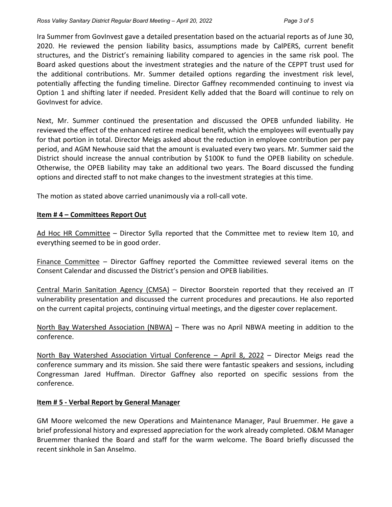Ira Summer from GovInvest gave a detailed presentation based on the actuarial reports as of June 30, 2020. He reviewed the pension liability basics, assumptions made by CalPERS, current benefit structures, and the District's remaining liability compared to agencies in the same risk pool. The Board asked questions about the investment strategies and the nature of the CEPPT trust used for the additional contributions. Mr. Summer detailed options regarding the investment risk level, potentially affecting the funding timeline. Director Gaffney recommended continuing to invest via Option 1 and shifting later if needed. President Kelly added that the Board will continue to rely on GovInvest for advice.

Next, Mr. Summer continued the presentation and discussed the OPEB unfunded liability. He reviewed the effect of the enhanced retiree medical benefit, which the employees will eventually pay for that portion in total. Director Meigs asked about the reduction in employee contribution per pay period, and AGM Newhouse said that the amount is evaluated every two years. Mr. Summer said the District should increase the annual contribution by \$100K to fund the OPEB liability on schedule. Otherwise, the OPEB liability may take an additional two years. The Board discussed the funding options and directed staff to not make changes to the investment strategies at this time.

The motion as stated above carried unanimously via a roll-call vote.

### **Item # 4 – Committees Report Out**

Ad Hoc HR Committee – Director Sylla reported that the Committee met to review Item 10, and everything seemed to be in good order.

Finance Committee – Director Gaffney reported the Committee reviewed several items on the Consent Calendar and discussed the District's pension and OPEB liabilities.

Central Marin Sanitation Agency (CMSA) – Director Boorstein reported that they received an IT vulnerability presentation and discussed the current procedures and precautions. He also reported on the current capital projects, continuing virtual meetings, and the digester cover replacement.

North Bay Watershed Association (NBWA) – There was no April NBWA meeting in addition to the conference.

North Bay Watershed Association Virtual Conference – April 8, 2022 – Director Meigs read the conference summary and its mission. She said there were fantastic speakers and sessions, including Congressman Jared Huffman. Director Gaffney also reported on specific sessions from the conference.

### **Item # 5 - Verbal Report by General Manager**

GM Moore welcomed the new Operations and Maintenance Manager, Paul Bruemmer. He gave a brief professional history and expressed appreciation for the work already completed. O&M Manager Bruemmer thanked the Board and staff for the warm welcome. The Board briefly discussed the recent sinkhole in San Anselmo.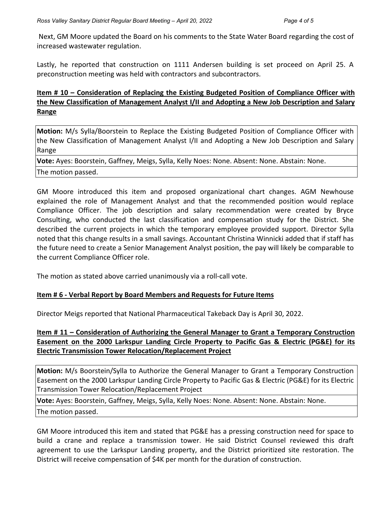Next, GM Moore updated the Board on his comments to the State Water Board regarding the cost of increased wastewater regulation.

Lastly, he reported that construction on 1111 Andersen building is set proceed on April 25. A preconstruction meeting was held with contractors and subcontractors.

# **Item # 10 – Consideration of Replacing the Existing Budgeted Position of Compliance Officer with the New Classification of Management Analyst I/II and Adopting a New Job Description and Salary Range**

**Motion:** M/s Sylla/Boorstein to Replace the Existing Budgeted Position of Compliance Officer with the New Classification of Management Analyst I/II and Adopting a New Job Description and Salary Range

**Vote:** Ayes: Boorstein, Gaffney, Meigs, Sylla, Kelly Noes: None. Absent: None. Abstain: None.

The motion passed.

GM Moore introduced this item and proposed organizational chart changes. AGM Newhouse explained the role of Management Analyst and that the recommended position would replace Compliance Officer. The job description and salary recommendation were created by Bryce Consulting, who conducted the last classification and compensation study for the District. She described the current projects in which the temporary employee provided support. Director Sylla noted that this change results in a small savings. Accountant Christina Winnicki added that if staff has the future need to create a Senior Management Analyst position, the pay will likely be comparable to the current Compliance Officer role.

The motion as stated above carried unanimously via a roll-call vote.

# **Item # 6 - Verbal Report by Board Members and Requests for Future Items**

Director Meigs reported that National Pharmaceutical Takeback Day is April 30, 2022.

# **Item # 11 – Consideration of Authorizing the General Manager to Grant a Temporary Construction Easement on the 2000 Larkspur Landing Circle Property to Pacific Gas & Electric (PG&E) for its Electric Transmission Tower Relocation/Replacement Project**

**Motion:** M/s Boorstein/Sylla to Authorize the General Manager to Grant a Temporary Construction Easement on the 2000 Larkspur Landing Circle Property to Pacific Gas & Electric (PG&E) for its Electric Transmission Tower Relocation/Replacement Project

**Vote:** Ayes: Boorstein, Gaffney, Meigs, Sylla, Kelly Noes: None. Absent: None. Abstain: None. The motion passed.

GM Moore introduced this item and stated that PG&E has a pressing construction need for space to build a crane and replace a transmission tower. He said District Counsel reviewed this draft agreement to use the Larkspur Landing property, and the District prioritized site restoration. The District will receive compensation of \$4K per month for the duration of construction.